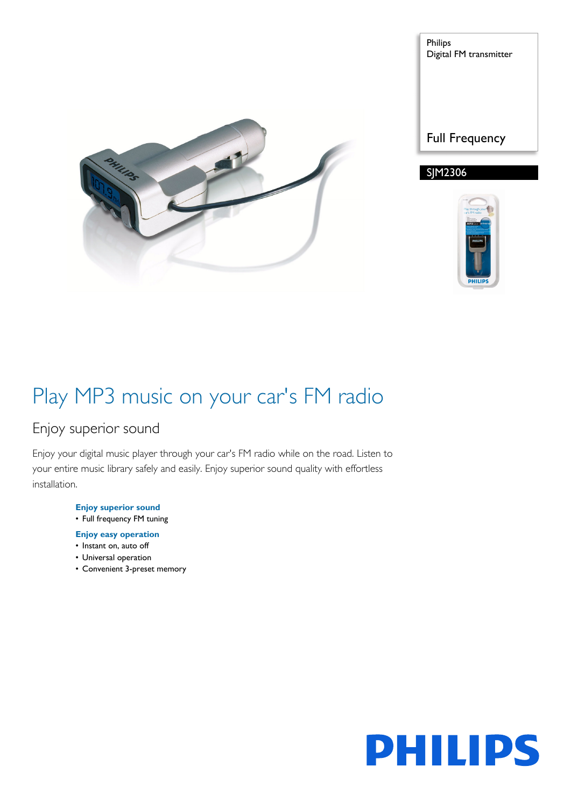

Philips Digital FM transmitter

### Full Frequency

### SJM2306



# Play MP3 music on your car's FM radio

### Enjoy superior sound

Enjoy your digital music player through your car's FM radio while on the road. Listen to your entire music library safely and easily. Enjoy superior sound quality with effortless installation.

> **Enjoy superior sound** • Full frequency FM tuning

- **Enjoy easy operation**
- Instant on, auto off
- Universal operation
- Convenient 3-preset memory